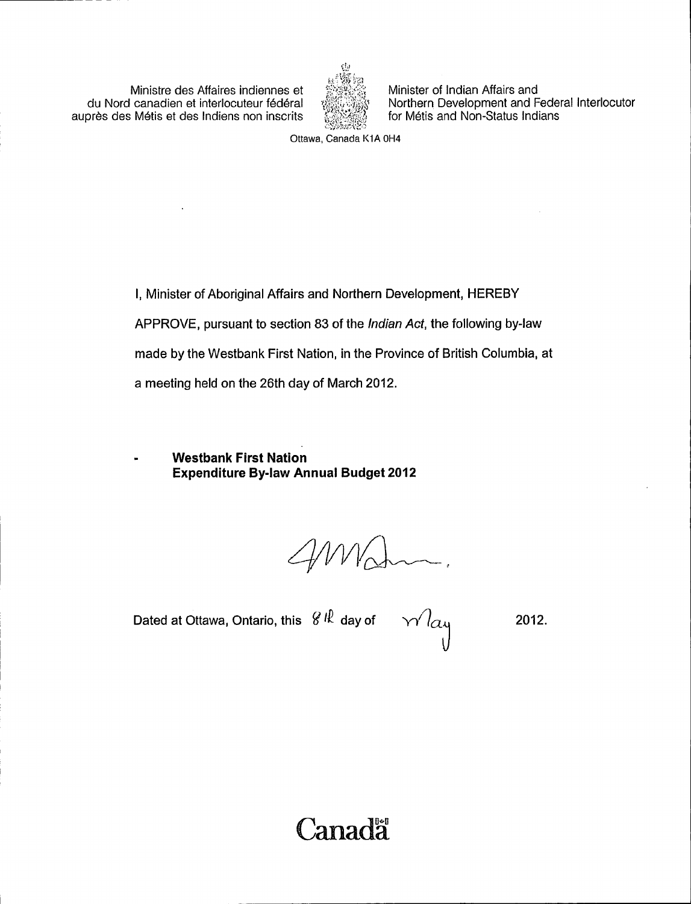Ministre des Affaires indiennes et du Nord canadien et interlocuteur fédéral auprès des Métis et des Indiens non inscrits



Minister of Indian Affairs and Northern Development and Federal Interlocutor for Métis and Non-Status Indians

Ottawa, Canada KIA OH4

I, Minister of Aboriginal Affairs and Northern Development, HEREBY APPROVE, pursuant to section 83 of the Indian Act, the following by -law made by the Westbank First Nation, in the Province of British Columbia, at a meeting held on the 26th day of March 2012.

Westbank First Nation Expenditure By -law Annual Budget 2012

AMA

Dated at Ottawa, Ontario, this  $\left\vert \mathcal{C}\right\vert \mathcal{R}\right\vert$  day of

2012.

L

**Canada**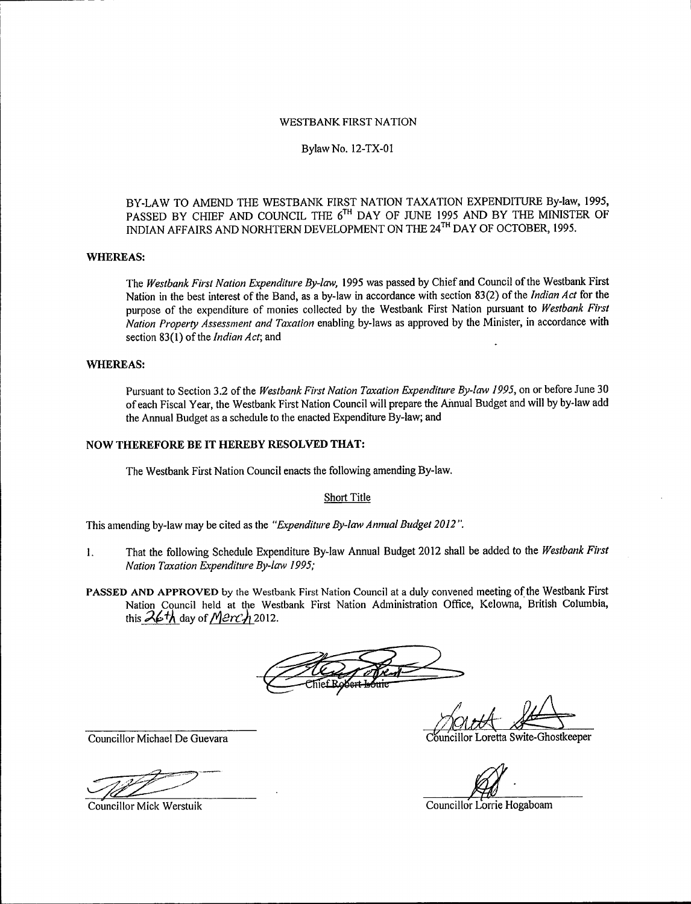### WESTBANK FIRST NATION

### Bylaw No. 12 -TX -01

## BY -LAW TO AMEND THE WESTBANK FIRST NATION TAXATION EXPENDITURE By -law, 1995, PASSED BY CHIEF AND COUNCIL THE 6'" DAY OF JUNE 1995 AND BY THE MINISTER OF INDIAN AFFAIRS AND NORHTERN DEVELOPMENT ON THE 24'" DAY OF OCTOBER, 1995.

## WHEREAS:

The Westbank First Nation Expenditure By-law, 1995 was passed by Chief and Council of the Westbank First Nation in the best interest of the Band, as a by-law in accordance with section 83(2) of the Indian Act for the purpose of the expenditure of monies collected by the Westbank First Nation pursuant to Westbank First Nation Property Assessment and Taxation enabling by -laws as approved by the Minister, in accordance with section 83(1) of the *Indian Act*; and

## WHEREAS:

Pursuant to Section 3.2 of the Westbank First Nation Taxation Expenditure By-law 1995, on or before June 30 of each Fiscal Year, the Westbank First Nation Council will prepare the Annual Budget and will by by -law add the Annual Budget as a schedule to the enacted Expenditure By -law; and

#### NOW THEREFORE BE IT HEREBY RESOLVED THAT:

The Westbank First Nation Council enacts the following amending By -law.

### Short Title

This amending by-law may be cited as the "Expenditure By-law Annual Budget 2012".

- 1. That the following Schedule Expenditure By-law Annual Budget 2012 shall be added to the Westbank First Nation Taxation Expenditure By -law 1995;
- PASSED AND APPROVED by the Westbank First Nation Council at <sup>a</sup> duly convened meeting of the Westbank First Nation Council held at the Westbank First Nation Administration Office, Kelowna, British Columbia, this  $\mathcal{A}\epsilon\hbar$  day of  $\mathcal{M}$   $\mathcal{CN}$  2012.

oretta Swite-Ghostkeeper

Councillor Lorrie Hogaboam

Councillor Michael De Guevara

Councillor Mick Werstuik